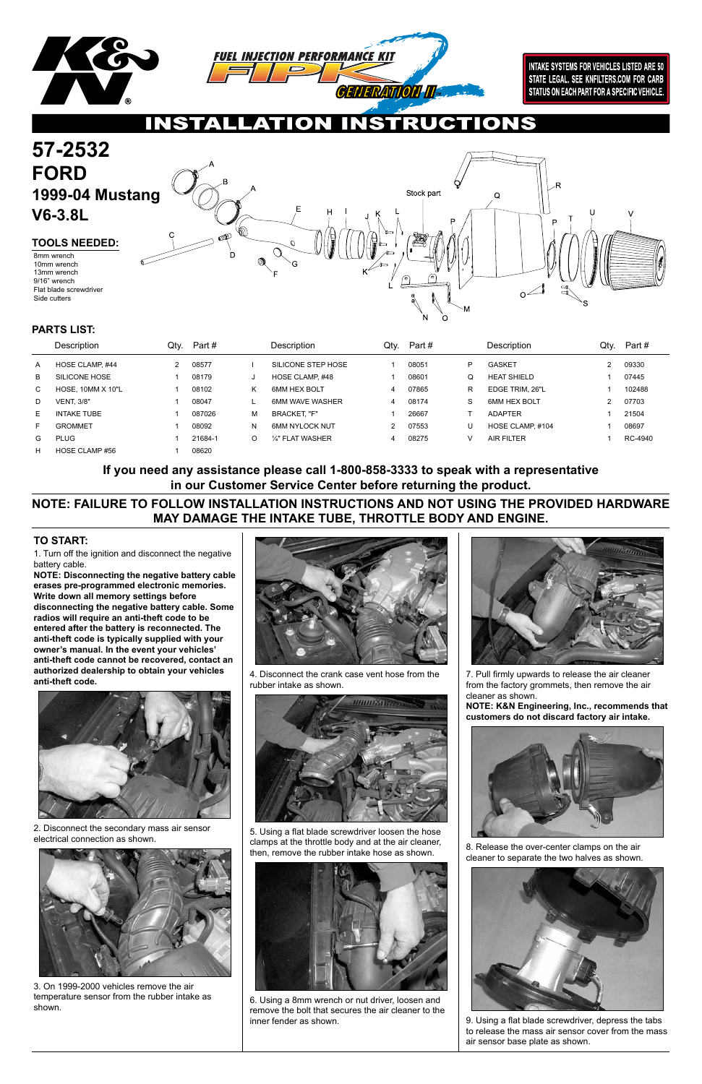

**INTAKE SYSTEMS FOR VEHICLES LISTED ARE 50** STATE LEGAL. SEE KNFILTERS.COM FOR CARB STATUS ON EACH PART FOR A SPECIFIC VEHICLE.

# ON

1. Turn off the ignition and disconnect the negative battery cable.

**NOTE: Disconnecting the negative battery cable erases pre-programmed electronic memories. Write down all memory settings before disconnecting the negative battery cable. Some radios will require an anti-theft code to be entered after the battery is reconnected. The anti-theft code is typically supplied with your owner's manual. In the event your vehicles' anti-theft code cannot be recovered, contact an authorized dealership to obtain your vehicles anti-theft code.**



### **TO START:**

### **57-2532 FORD 1999-04 Mustang**  Stock part Q **V6-3.8L TOOLS NEEDED:** 8mm wrench 10mm wrench 13mm wrench 9/16" wrench Flat blade screwdriver  $O<sup>2</sup>$ Side cutters

|    | Description              | Qty. | Part #  |          | Description            | Qty. | Part# |    | <b>Description</b> | Qty.          | Part #  |
|----|--------------------------|------|---------|----------|------------------------|------|-------|----|--------------------|---------------|---------|
| A  | HOSE CLAMP, #44          | 2    | 08577   |          | SILICONE STEP HOSE     |      | 08051 | P  | <b>GASKET</b>      | $\mathcal{P}$ | 09330   |
| B  | SILICONE HOSE            |      | 08179   | J        | HOSE CLAMP, #48        |      | 08601 | Q  | <b>HEAT SHIELD</b> |               | 07445   |
| C  | <b>HOSE, 10MM X 10"L</b> |      | 08102   | Κ        | 6MM HEX BOLT           | 4    | 07865 | R  | EDGE TRIM. 26"L    |               | 102488  |
| D  | <b>VENT. 3/8"</b>        |      | 08047   |          | <b>6MM WAVE WASHER</b> | 4    | 08174 | S. | 6MM HEX BOLT       | $\mathcal{P}$ | 07703   |
| E. | <b>INTAKE TUBE</b>       |      | 087026  | м        | <b>BRACKET. "F"</b>    |      | 26667 |    | <b>ADAPTER</b>     |               | 21504   |
| Е  | <b>GROMMET</b>           |      | 08092   | N        | <b>6MM NYLOCK NUT</b>  | 2    | 07553 | l  | HOSE CLAMP, #104   |               | 08697   |
| G  | <b>PLUG</b>              |      | 21684-1 | $\Omega$ | 1/4" FLAT WASHER       | 4    | 08275 |    | <b>AIR FILTER</b>  |               | RC-4940 |
| н  | HOSE CLAMP #56           |      | 08620   |          |                        |      |       |    |                    |               |         |

### **PARTS LIST:**

2. Disconnect the secondary mass air sensor electrical connection as shown.



3. On 1999-2000 vehicles remove the air temperature sensor from the rubber intake as shown.



4. Disconnect the crank case vent hose from the rubber intake as shown.





5. Using a flat blade screwdriver loosen the hose clamps at the throttle body and at the air cleaner, then, remove the rubber intake hose as shown.



6. Using a 8mm wrench or nut driver, loosen and remove the bolt that secures the air cleaner to the inner fender as shown.

7. Pull firmly upwards to release the air cleaner from the factory grommets, then remove the air cleaner as shown.

**NOTE: K&N Engineering, Inc., recommends that customers do not discard factory air intake.**



8. Release the over-center clamps on the air cleaner to separate the two halves as shown.



9. Using a flat blade screwdriver, depress the tabs to release the mass air sensor cover from the mass air sensor base plate as shown.

## **NOTE: FAILURE TO FOLLOW INSTALLATION INSTRUCTIONS AND NOT USING THE PROVIDED HARDWARE MAY DAMAGE THE INTAKE TUBE, THROTTLE BODY AND ENGINE.**

**If you need any assistance please call 1-800-858-3333 to speak with a representative in our Customer Service Center before returning the product.**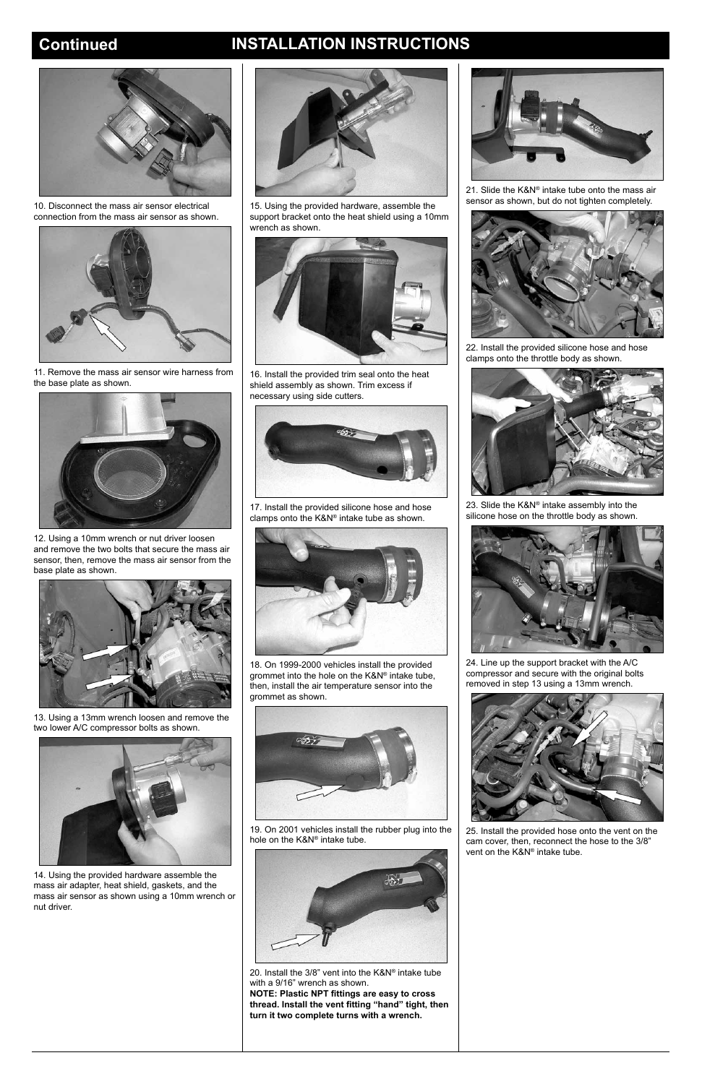## **Continued INSTALLATION INSTRUCTIONS**



10. Disconnect the mass air sensor electrical connection from the mass air sensor as shown.



11. Remove the mass air sensor wire harness from the base plate as shown.



12. Using a 10mm wrench or nut driver loosen and remove the two bolts that secure the mass air sensor, then, remove the mass air sensor from the base plate as shown.



13. Using a 13mm wrench loosen and remove the two lower A/C compressor bolts as shown.





14. Using the provided hardware assemble the mass air adapter, heat shield, gaskets, and the nut driver.



mass air sensor as shown using a 10mm wrench or

15. Using the provided hardware, assemble the support bracket onto the heat shield using a 10mm wrench as shown.



16. Install the provided trim seal onto the heat shield assembly as shown. Trim excess if necessary using side cutters.



23. Slide the K&N® intake assembly into the silicone hose on the throttle body as shown.



17. Install the provided silicone hose and hose clamps onto the K&N® intake tube as shown.



18. On 1999-2000 vehicles install the provided grommet into the hole on the K&N® intake tube, then, install the air temperature sensor into the grommet as shown.





19. On 2001 vehicles install the rubber plug into the hole on the K&N® intake tube.



20. Install the 3/8" vent into the K&N® intake tube with a 9/16" wrench as shown. **NOTE: Plastic NPT fittings are easy to cross thread. Install the vent fitting "hand" tight, then turn it two complete turns with a wrench.**

21. Slide the K&N® intake tube onto the mass air sensor as shown, but do not tighten completely.



22. Install the provided silicone hose and hose clamps onto the throttle body as shown.



24. Line up the support bracket with the A/C compressor and secure with the original bolts removed in step 13 using a 13mm wrench.



25. Install the provided hose onto the vent on the cam cover, then, reconnect the hose to the 3/8" vent on the K&N® intake tube.